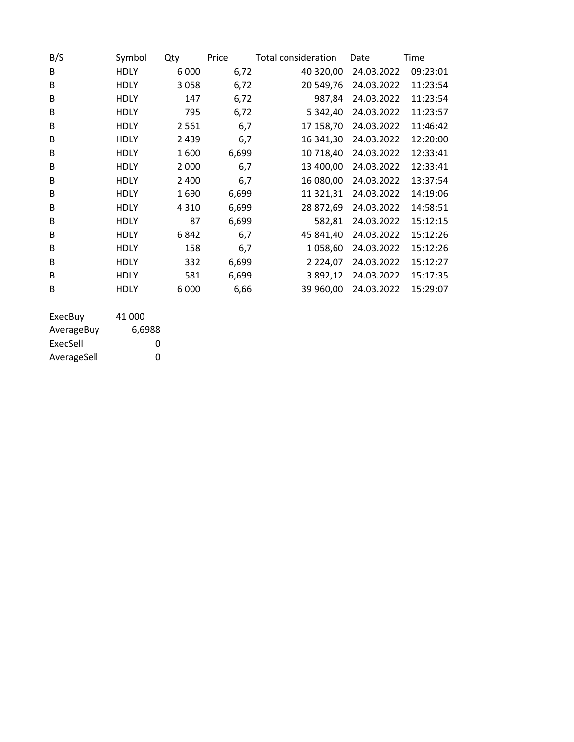| B/S | Symbol      | Qty     | Price | Total consideration | Date       | Time     |
|-----|-------------|---------|-------|---------------------|------------|----------|
| B   | <b>HDLY</b> | 6 0 0 0 | 6,72  | 40 320,00           | 24.03.2022 | 09:23:01 |
| B   | <b>HDLY</b> | 3058    | 6,72  | 20 549,76           | 24.03.2022 | 11:23:54 |
| B   | <b>HDLY</b> | 147     | 6,72  | 987,84              | 24.03.2022 | 11:23:54 |
| B   | <b>HDLY</b> | 795     | 6,72  | 5 342,40            | 24.03.2022 | 11:23:57 |
| B   | <b>HDLY</b> | 2561    | 6,7   | 17 158,70           | 24.03.2022 | 11:46:42 |
| B   | <b>HDLY</b> | 2 4 3 9 | 6,7   | 16 341,30           | 24.03.2022 | 12:20:00 |
| B   | <b>HDLY</b> | 1600    | 6,699 | 10 718,40           | 24.03.2022 | 12:33:41 |
| B   | <b>HDLY</b> | 2 0 0 0 | 6,7   | 13 400,00           | 24.03.2022 | 12:33:41 |
| B   | <b>HDLY</b> | 2 4 0 0 | 6,7   | 16 080,00           | 24.03.2022 | 13:37:54 |
| B   | <b>HDLY</b> | 1690    | 6,699 | 11 321,31           | 24.03.2022 | 14:19:06 |
| B   | <b>HDLY</b> | 4 3 1 0 | 6,699 | 28 872,69           | 24.03.2022 | 14:58:51 |
| B   | <b>HDLY</b> | 87      | 6,699 | 582,81              | 24.03.2022 | 15:12:15 |
| B   | <b>HDLY</b> | 6842    | 6,7   | 45 841,40           | 24.03.2022 | 15:12:26 |
| B   | <b>HDLY</b> | 158     | 6,7   | 1058,60             | 24.03.2022 | 15:12:26 |
| B   | <b>HDLY</b> | 332     | 6,699 | 2 2 2 4 , 0 7       | 24.03.2022 | 15:12:27 |
| B   | <b>HDLY</b> | 581     | 6,699 | 3892,12             | 24.03.2022 | 15:17:35 |
| B   | <b>HDLY</b> | 6000    | 6,66  | 39 960,00           | 24.03.2022 | 15:29:07 |
|     |             |         |       |                     |            |          |

| ExecBuy     | 41 000 |
|-------------|--------|
| AverageBuy  | 6,6988 |
| ExecSell    | O      |
| AverageSell | O      |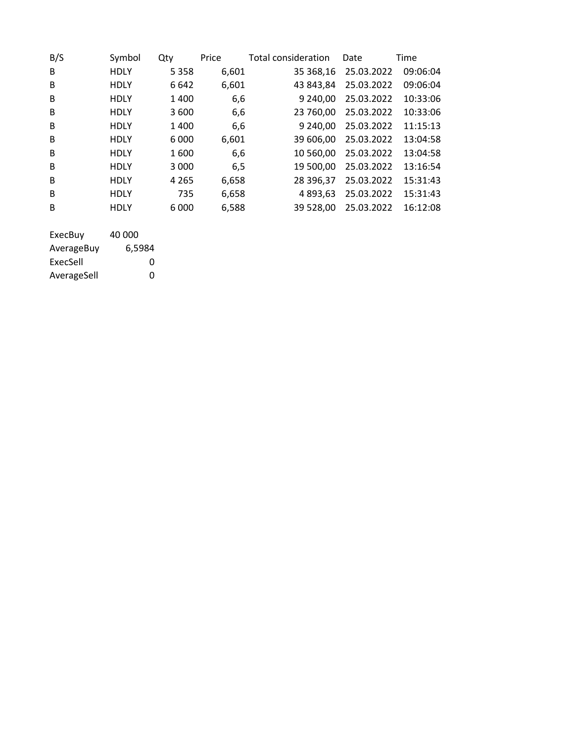| B/S | Symbol      | Qty     | Price | <b>Total consideration</b> | Date       | Time     |
|-----|-------------|---------|-------|----------------------------|------------|----------|
| B   | <b>HDLY</b> | 5 3 5 8 | 6,601 | 35 368,16                  | 25.03.2022 | 09:06:04 |
| B   | <b>HDLY</b> | 6642    | 6,601 | 43 843,84                  | 25.03.2022 | 09:06:04 |
| B   | <b>HDLY</b> | 1400    | 6,6   | 9 240.00                   | 25.03.2022 | 10:33:06 |
| B   | <b>HDLY</b> | 3600    | 6,6   | 23 760,00                  | 25.03.2022 | 10:33:06 |
| B.  | <b>HDLY</b> | 1400    | 6,6   | 9 240,00                   | 25.03.2022 | 11:15:13 |
| B   | <b>HDLY</b> | 6 000   | 6,601 | 39 606.00                  | 25.03.2022 | 13:04:58 |
| B   | <b>HDLY</b> | 1600    | 6,6   | 10 560.00                  | 25.03.2022 | 13:04:58 |
| B   | <b>HDLY</b> | 3 0 0 0 | 6,5   | 19 500,00                  | 25.03.2022 | 13:16:54 |
| B   | <b>HDLY</b> | 4 2 6 5 | 6,658 | 28 396,37                  | 25.03.2022 | 15:31:43 |
| B   | <b>HDLY</b> | 735     | 6,658 | 4 893.63                   | 25.03.2022 | 15:31:43 |
| B   | <b>HDLY</b> | 6 0 0 0 | 6,588 | 39 528,00                  | 25.03.2022 | 16:12:08 |
|     |             |         |       |                            |            |          |

| ExecBuy     | 40 000 |
|-------------|--------|
| AverageBuy  | 6,5984 |
| ExecSell    | O      |
| AverageSell | O      |